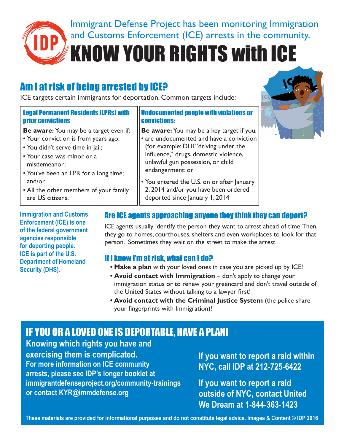

Immigrant Defense Project has been monitoring Immigration and Customs Enforcement (ICE) arrests in the community.

KNOW YOUR RIGHTS with ICE

# Am I at risk of being arrested by ICE?

ICE targets certain immigrants for deportation. Common targets include:

#### Legal Permanent Residents (LPRs) with prior convictions

**Be aware:** You may be a target even if:

- Your conviction is from years ago;
- You didn't serve time in jail;
- Your case was minor or a misdemeanor;
- You've been an LPR for a long time; and/or
- All the other members of your family are US citizens.

**Immigration and Customs Enforcement (ICE) is one of the federal government agencies responsible for deporting people. ICE is part of the U.S. Department of Homeland Security (DHS).**

#### Undocumented people with violations or convictions:

- **Be aware:** You may be a key target if you: • are undocumented and have a conviction (for example: DUI "driving under the influence," drugs, domestic violence, unlawful gun possession, or child endangerment; or
- You entered the U.S. on or after January 2, 2014 and/or you have been ordered deported since January 1, 2014



# Are ICE agents approaching anyone they think they can deport?

ICE agents usually identify the person they want to arrest ahead of time. Then, they go to homes, courthouses, shelters and even workplaces to look for that person. Sometimes they wait on the street to make the arrest.

# If I know I'm at risk, what can I do?

- **• Make a plan** with your loved ones in case you are picked up by ICE!
- **• Avoid contact with Immigration** don't apply to change your immigration status or to renew your greencard and don't travel outside of the United States without talking to a lawyer first!
- **• Avoid contact with the Criminal Justice System** (the police share your fingerprints with Immigration)!

# IF YOU OR A LOVED ONE IS DEPORTABLE, HAVE A PLAN!

**Knowing which rights you have and exercising them is complicated. For more information on ICE community arrests, please see IDP's longer booklet at immigrantdefenseproject.org/community-trainings or contact KYR@immdefense.org**

**If you want to report a raid within NYC, call IDP at 212-725-6422**

**If you want to report a raid outside of NYC, contact United We Dream at 1-844-363-1423**

**These materials are provided for informational purposes and do not constitute legal advice. Images & Content © IDP 2016**